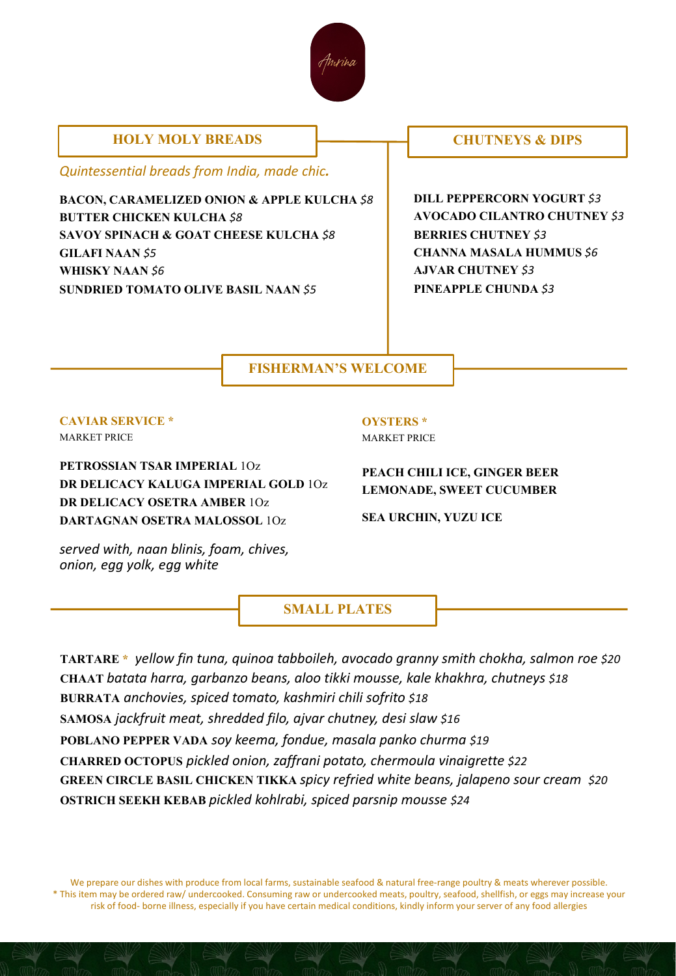

### **HOLY MOLY BREADS**  $\qquad \qquad \qquad \qquad$  **CHUTNEYS & DIPS**

*Quintessential breads from India, made chic.* 

**BACON, CARAMELIZED ONION & APPLE KULCHA** *\$8* **BUTTER CHICKEN KULCHA** *\$8* **SAVOY SPINACH & GOAT CHEESE KULCHA** *\$8* **GILAFI NAAN** *\$5* **WHISKY NAAN** *\$6* **SUNDRIED TOMATO OLIVE BASIL NAAN** *\$5*

**DILL PEPPERCORN YOGURT** *\$3* **AVOCADO CILANTRO CHUTNEY** *\$3* **BERRIES CHUTNEY** *\$3* **CHANNA MASALA HUMMUS** *\$6* **AJVAR CHUTNEY** *\$3* **PINEAPPLE CHUNDA** *\$3*

## **FISHERMAN'S WELCOME**

# **CAVIAR SERVICE \***

MARKET PRICE

**PETROSSIAN TSAR IMPERIAL** 1Oz **DR DELICACY KALUGA IMPERIAL GOLD** 1Oz **DR DELICACY OSETRA AMBER** 1Oz **DARTAGNAN OSETRA MALOSSOL** 1Oz

**OYSTERS \*** MARKET PRICE

#### **PEACH CHILI ICE, GINGER BEER LEMONADE, SWEET CUCUMBER**

**SEA URCHIN, YUZU ICE**

*served with, naan blinis, foam, chives, onion, egg yolk, egg white*

**SMALL PLATES**

**TARTARE \*** *yellow fin tuna, quinoa tabboileh, avocado granny smith chokha, salmon roe \$20* **CHAAT** *batata harra, garbanzo beans, aloo tikki mousse, kale khakhra, chutneys \$18* **BURRATA** *anchovies, spiced tomato, kashmiri chili sofrito \$18* **SAMOSA** *jackfruit meat, shredded filo, ajvar chutney, desi slaw \$16* **POBLANO PEPPER VADA** *soy keema, fondue, masala panko churma \$19* **CHARRED OCTOPUS** *pickled onion, zaffrani potato, chermoula vinaigrette \$22* **GREEN CIRCLE BASIL CHICKEN TIKKA** *spicy refried white beans, jalapeno sour cream \$20* **OSTRICH SEEKH KEBAB** *pickled kohlrabi, spiced parsnip mousse \$24*

We prepare our dishes with produce from local farms, sustainable seafood & natural free-range poultry & meats wherever possible. \* This item may be ordered raw/ undercooked. Consuming raw or undercooked meats, poultry, seafood, shellfish, or eggs may increase your risk of food- borne illness, especially if you have certain medical conditions, kindly inform your server of any food allergies